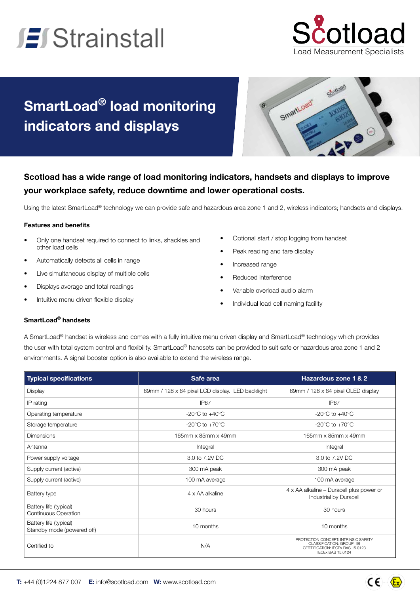# **El Strainstall**



### **SmartLoad® load monitoring indicators and displays**



### **Scotload has a wide range of load monitoring indicators, handsets and displays to improve your workplace safety, reduce downtime and lower operational costs.**

Using the latest SmartLoad® technology we can provide safe and hazardous area zone 1 and 2, wireless indicators; handsets and displays.

#### **Features and benefits**

- Only one handset required to connect to links, shackles and other load cells
- Automatically detects all cells in range
- Live simultaneous display of multiple cells
- Displays average and total readings
- Intuitive menu driven flexible display
- Optional start / stop logging from handset
- Peak reading and tare display
- Increased range
- Reduced interference
- Variable overload audio alarm
- Individual load cell naming facility

#### **SmartLoad® handsets**

A SmartLoad® handset is wireless and comes with a fully intuitive menu driven display and SmartLoad® technology which provides the user with total system control and flexibility. SmartLoad® handsets can be provided to suit safe or hazardous area zone 1 and 2 environments. A signal booster option is also available to extend the wireless range.

| <b>Typical specifications</b>                         | Safe area                                        | <b>Hazardous zone 1 &amp; 2</b>                                                                                                          |
|-------------------------------------------------------|--------------------------------------------------|------------------------------------------------------------------------------------------------------------------------------------------|
| <b>Display</b>                                        | 69mm / 128 x 64 pixel LCD display. LED backlight | 69mm / 128 x 64 pixel OLED display                                                                                                       |
| IP rating                                             | IP67                                             | IP67                                                                                                                                     |
| Operating temperature                                 | $-20^{\circ}$ C to $+40^{\circ}$ C               | $-20^{\circ}$ C to $+40^{\circ}$ C                                                                                                       |
| Storage temperature                                   | $-20^{\circ}$ C to $+70^{\circ}$ C               | $-20^{\circ}$ C to $+70^{\circ}$ C                                                                                                       |
| <b>Dimensions</b>                                     | 165mm x 85mm x 49mm                              | 165mm x 85mm x 49mm                                                                                                                      |
| Antenna                                               | Integral                                         | Integral                                                                                                                                 |
| Power supply voltage                                  | 3.0 to 7.2V DC                                   | 3.0 to 7.2V DC                                                                                                                           |
| Supply current (active)                               | 300 mA peak                                      | 300 mA peak                                                                                                                              |
| Supply current (active)                               | 100 mA average                                   | 100 mA average                                                                                                                           |
| Battery type                                          | 4 x AA alkaline                                  | $4 \times$ AA alkaline – Duracell plus power or<br>Industrial by Duracell                                                                |
| Battery life (typical)<br><b>Continuous Operation</b> | 30 hours                                         | 30 hours                                                                                                                                 |
| Battery life (typical)<br>Standby mode (powered off)  | 10 months                                        | 10 months                                                                                                                                |
| Certified to                                          | N/A                                              | PROTECTION CONCEPT: INTRINSIC SAFETY<br><b>CLASSIFICATION: GROUP IIB</b><br>CERTIFICATION: IECEx BAS 15.0123<br><b>IECEX BAS 15.0124</b> |